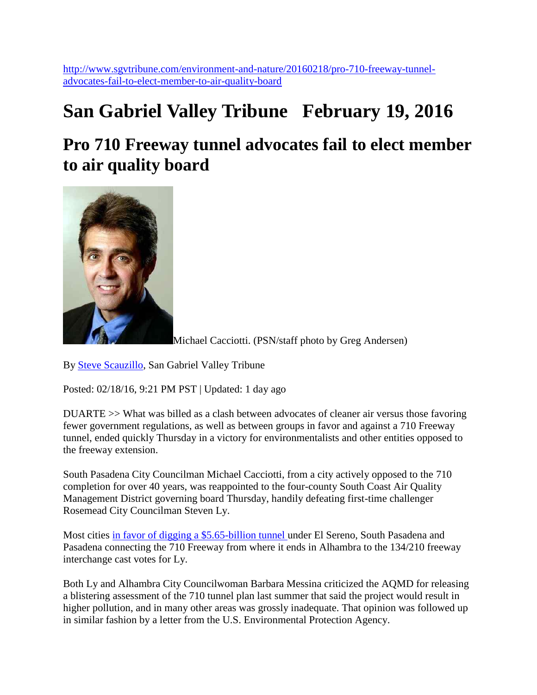[http://www.sgvtribune.com/environment-and-nature/20160218/pro-710-freeway-tunnel](http://www.sgvtribune.com/environment-and-nature/20160218/pro-710-freeway-tunnel-advocates-fail-to-elect-member-to-air-quality-board)[advocates-fail-to-elect-member-to-air-quality-board](http://www.sgvtribune.com/environment-and-nature/20160218/pro-710-freeway-tunnel-advocates-fail-to-elect-member-to-air-quality-board)

## **San Gabriel Valley Tribune February 19, 2016**

### **Pro 710 Freeway tunnel advocates fail to elect member to air quality board**



Michael Cacciotti. (PSN/staff photo by Greg Andersen)

By [Steve Scauzillo,](http://www.sgvtribune.com/environment-and-nature/20160218/pro-710-freeway-tunnel-advocates-fail-to-elect-member-to-air-quality-board#author1) San Gabriel Valley Tribune

Posted: 02/18/16, 9:21 PM PST | Updated: 1 day ago

DUARTE >> What was billed as a clash between advocates of cleaner air versus those favoring fewer government regulations, as well as between groups in favor and against a 710 Freeway tunnel, ended quickly Thursday in a victory for environmentalists and other entities opposed to the freeway extension.

South Pasadena City Councilman Michael Cacciotti, from a city actively opposed to the 710 completion for over 40 years, was reappointed to the four-county South Coast Air Quality Management District governing board Thursday, handily defeating first-time challenger Rosemead City Councilman Steven Ly.

Most cities [in favor of digging a \\$5.65-billion tunnel u](http://www.sgvtribune.com/general-news/20150306/environmental-report-on-710-freeway-gap-tunnel-would-ease-traffic-more-than-light-rail)nder El Sereno, South Pasadena and Pasadena connecting the 710 Freeway from where it ends in Alhambra to the 134/210 freeway interchange cast votes for Ly.

Both Ly and Alhambra City Councilwoman Barbara Messina criticized the AQMD for releasing a blistering assessment of the 710 tunnel plan last summer that said the project would result in higher pollution, and in many other areas was grossly inadequate. That opinion was followed up in similar fashion by a letter from the U.S. Environmental Protection Agency.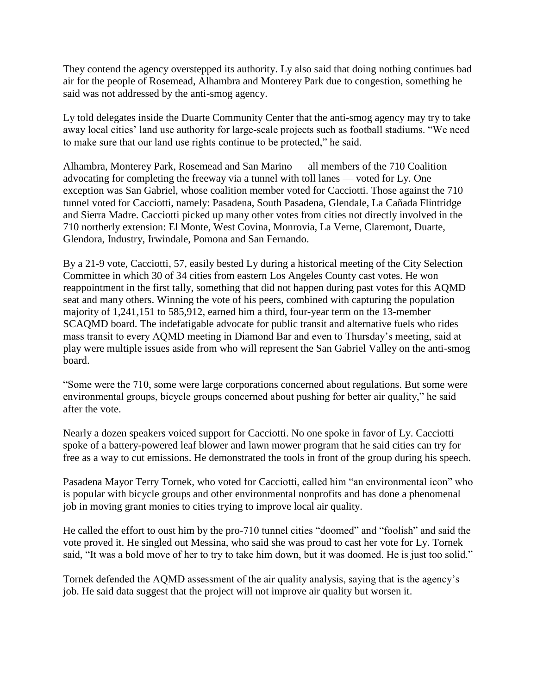They contend the agency overstepped its authority. Ly also said that doing nothing continues bad air for the people of Rosemead, Alhambra and Monterey Park due to congestion, something he said was not addressed by the anti-smog agency.

Ly told delegates inside the Duarte Community Center that the anti-smog agency may try to take away local cities' land use authority for large-scale projects such as football stadiums. "We need to make sure that our land use rights continue to be protected," he said.

Alhambra, Monterey Park, Rosemead and San Marino — all members of the 710 Coalition advocating for completing the freeway via a tunnel with toll lanes — voted for Ly. One exception was San Gabriel, whose coalition member voted for Cacciotti. Those against the 710 tunnel voted for Cacciotti, namely: Pasadena, South Pasadena, Glendale, La Cañada Flintridge and Sierra Madre. Cacciotti picked up many other votes from cities not directly involved in the 710 northerly extension: El Monte, West Covina, Monrovia, La Verne, Claremont, Duarte, Glendora, Industry, Irwindale, Pomona and San Fernando.

By a 21-9 vote, Cacciotti, 57, easily bested Ly during a historical meeting of the City Selection Committee in which 30 of 34 cities from eastern Los Angeles County cast votes. He won reappointment in the first tally, something that did not happen during past votes for this AQMD seat and many others. Winning the vote of his peers, combined with capturing the population majority of 1,241,151 to 585,912, earned him a third, four-year term on the 13-member SCAQMD board. The indefatigable advocate for public transit and alternative fuels who rides mass transit to every AQMD meeting in Diamond Bar and even to Thursday's meeting, said at play were multiple issues aside from who will represent the San Gabriel Valley on the anti-smog board.

"Some were the 710, some were large corporations concerned about regulations. But some were environmental groups, bicycle groups concerned about pushing for better air quality," he said after the vote.

Nearly a dozen speakers voiced support for Cacciotti. No one spoke in favor of Ly. Cacciotti spoke of a battery-powered leaf blower and lawn mower program that he said cities can try for free as a way to cut emissions. He demonstrated the tools in front of the group during his speech.

Pasadena Mayor Terry Tornek, who voted for Cacciotti, called him "an environmental icon" who is popular with bicycle groups and other environmental nonprofits and has done a phenomenal job in moving grant monies to cities trying to improve local air quality.

He called the effort to oust him by the pro-710 tunnel cities "doomed" and "foolish" and said the vote proved it. He singled out Messina, who said she was proud to cast her vote for Ly. Tornek said, "It was a bold move of her to try to take him down, but it was doomed. He is just too solid."

Tornek defended the AQMD assessment of the air quality analysis, saying that is the agency's job. He said data suggest that the project will not improve air quality but worsen it.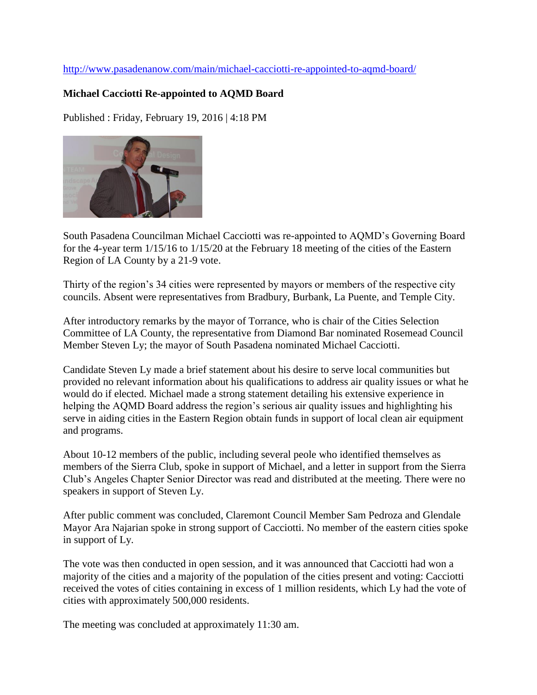#### <http://www.pasadenanow.com/main/michael-cacciotti-re-appointed-to-aqmd-board/>

#### **Michael Cacciotti Re-appointed to AQMD Board**

Published : Friday, February 19, 2016 | 4:18 PM



South Pasadena Councilman Michael Cacciotti was re-appointed to AQMD's Governing Board for the 4-year term 1/15/16 to 1/15/20 at the February 18 meeting of the cities of the Eastern Region of LA County by a 21-9 vote.

Thirty of the region's 34 cities were represented by mayors or members of the respective city councils. Absent were representatives from Bradbury, Burbank, La Puente, and Temple City.

After introductory remarks by the mayor of Torrance, who is chair of the Cities Selection Committee of LA County, the representative from Diamond Bar nominated Rosemead Council Member Steven Ly; the mayor of South Pasadena nominated Michael Cacciotti.

Candidate Steven Ly made a brief statement about his desire to serve local communities but provided no relevant information about his qualifications to address air quality issues or what he would do if elected. Michael made a strong statement detailing his extensive experience in helping the AQMD Board address the region's serious air quality issues and highlighting his serve in aiding cities in the Eastern Region obtain funds in support of local clean air equipment and programs.

About 10-12 members of the public, including several peole who identified themselves as members of the Sierra Club, spoke in support of Michael, and a letter in support from the Sierra Club's Angeles Chapter Senior Director was read and distributed at the meeting. There were no speakers in support of Steven Ly.

After public comment was concluded, Claremont Council Member Sam Pedroza and Glendale Mayor Ara Najarian spoke in strong support of Cacciotti. No member of the eastern cities spoke in support of Ly.

The vote was then conducted in open session, and it was announced that Cacciotti had won a majority of the cities and a majority of the population of the cities present and voting: Cacciotti received the votes of cities containing in excess of 1 million residents, which Ly had the vote of cities with approximately 500,000 residents.

The meeting was concluded at approximately 11:30 am.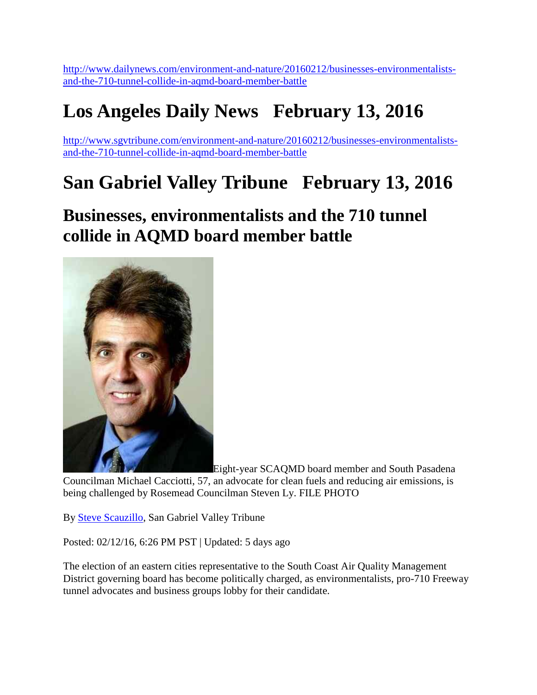[http://www.dailynews.com/environment-and-nature/20160212/businesses-environmentalists](http://www.dailynews.com/environment-and-nature/20160212/businesses-environmentalists-and-the-710-tunnel-collide-in-aqmd-board-member-battle)[and-the-710-tunnel-collide-in-aqmd-board-member-battle](http://www.dailynews.com/environment-and-nature/20160212/businesses-environmentalists-and-the-710-tunnel-collide-in-aqmd-board-member-battle)

# **Los Angeles Daily News February 13, 2016**

[http://www.sgvtribune.com/environment-and-nature/20160212/businesses-environmentalists](http://www.sgvtribune.com/environment-and-nature/20160212/businesses-environmentalists-and-the-710-tunnel-collide-in-aqmd-board-member-battle)[and-the-710-tunnel-collide-in-aqmd-board-member-battle](http://www.sgvtribune.com/environment-and-nature/20160212/businesses-environmentalists-and-the-710-tunnel-collide-in-aqmd-board-member-battle)

## **San Gabriel Valley Tribune February 13, 2016**

### **Businesses, environmentalists and the 710 tunnel collide in AQMD board member battle**



Eight-year SCAQMD board member and South Pasadena

Councilman Michael Cacciotti, 57, an advocate for clean fuels and reducing air emissions, is being challenged by Rosemead Councilman Steven Ly. FILE PHOTO

By [Steve Scauzillo,](http://www.sgvtribune.com/environment-and-nature/20160212/businesses-environmentalists-and-the-710-tunnel-collide-in-aqmd-board-member-battle#author1) San Gabriel Valley Tribune

Posted: 02/12/16, 6:26 PM PST | Updated: 5 days ago

The election of an eastern cities representative to the South Coast Air Quality Management District governing board has become politically charged, as environmentalists, pro-710 Freeway tunnel advocates and business groups lobby for their candidate.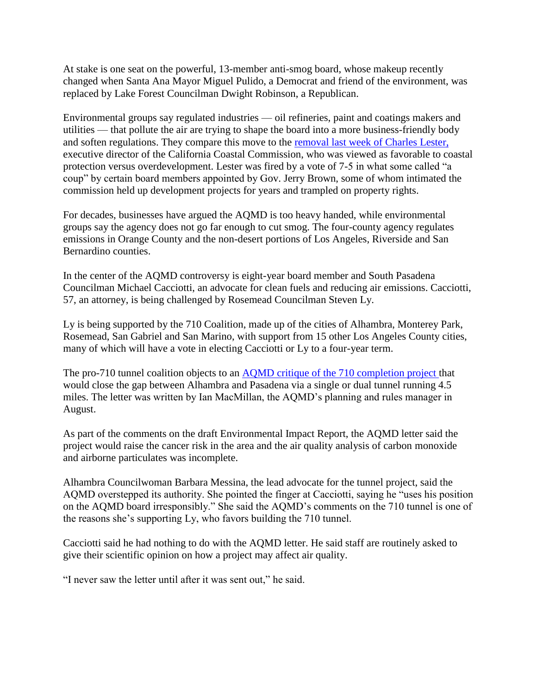At stake is one seat on the powerful, 13-member anti-smog board, whose makeup recently changed when Santa Ana Mayor Miguel Pulido, a Democrat and friend of the environment, was replaced by Lake Forest Councilman Dwight Robinson, a Republican.

Environmental groups say regulated industries — oil refineries, paint and coatings makers and utilities — that pollute the air are trying to shape the board into a more business-friendly body and soften regulations. They compare this move to the [removal last week of Charles Lester,](http://www.dailybreeze.com/environment-and-nature/20160210/powerful-california-coastal-panel-ousts-top-executive) executive director of the California Coastal Commission, who was viewed as favorable to coastal protection versus overdevelopment. Lester was fired by a vote of 7-5 in what some called "a coup" by certain board members appointed by Gov. Jerry Brown, some of whom intimated the commission held up development projects for years and trampled on property rights.

For decades, businesses have argued the AQMD is too heavy handed, while environmental groups say the agency does not go far enough to cut smog. The four-county agency regulates emissions in Orange County and the non-desert portions of Los Angeles, Riverside and San Bernardino counties.

In the center of the AQMD controversy is eight-year board member and South Pasadena Councilman Michael Cacciotti, an advocate for clean fuels and reducing air emissions. Cacciotti, 57, an attorney, is being challenged by Rosemead Councilman Steven Ly.

Ly is being supported by the 710 Coalition, made up of the cities of Alhambra, Monterey Park, Rosemead, San Gabriel and San Marino, with support from 15 other Los Angeles County cities, many of which will have a vote in electing Cacciotti or Ly to a four-year term.

The pro-710 tunnel coalition objects to an [AQMD critique of the 710 completion project t](http://www.sgvtribune.com/general-news/20150813/aqmd-710-freeway-tunnel-would-raise-cancer-risk-to-unacceptable-levels)hat would close the gap between Alhambra and Pasadena via a single or dual tunnel running 4.5 miles. The letter was written by Ian MacMillan, the AQMD's planning and rules manager in August.

As part of the comments on the draft Environmental Impact Report, the AQMD letter said the project would raise the cancer risk in the area and the air quality analysis of carbon monoxide and airborne particulates was incomplete.

Alhambra Councilwoman Barbara Messina, the lead advocate for the tunnel project, said the AQMD overstepped its authority. She pointed the finger at Cacciotti, saying he "uses his position on the AQMD board irresponsibly." She said the AQMD's comments on the 710 tunnel is one of the reasons she's supporting Ly, who favors building the 710 tunnel.

Cacciotti said he had nothing to do with the AQMD letter. He said staff are routinely asked to give their scientific opinion on how a project may affect air quality.

"I never saw the letter until after it was sent out," he said.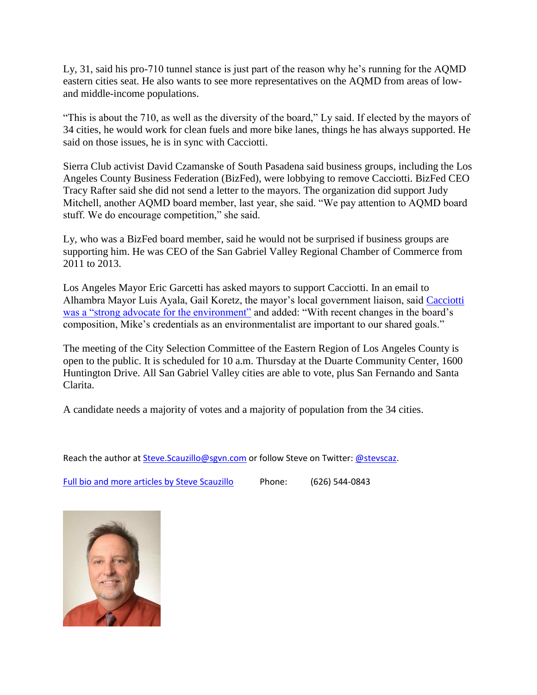Ly, 31, said his pro-710 tunnel stance is just part of the reason why he's running for the AQMD eastern cities seat. He also wants to see more representatives on the AQMD from areas of lowand middle-income populations.

"This is about the 710, as well as the diversity of the board," Ly said. If elected by the mayors of 34 cities, he would work for clean fuels and more bike lanes, things he has always supported. He said on those issues, he is in sync with Cacciotti.

Sierra Club activist David Czamanske of South Pasadena said business groups, including the Los Angeles County Business Federation (BizFed), were lobbying to remove Cacciotti. BizFed CEO Tracy Rafter said she did not send a letter to the mayors. The organization did support Judy Mitchell, another AQMD board member, last year, she said. "We pay attention to AQMD board stuff. We do encourage competition," she said.

Ly, who was a BizFed board member, said he would not be surprised if business groups are supporting him. He was CEO of the San Gabriel Valley Regional Chamber of Commerce from 2011 to 2013.

Los Angeles Mayor Eric Garcetti has asked mayors to support Cacciotti. In an email to Alhambra Mayor Luis Ayala, Gail Koretz, the mayor's local government liaison, said [Cacciotti](http://www.sgvtribune.com/environment-and-nature/20150226/first-emissions-free-park-located-in-south-pasadena-uses-battery-powered-mowers-leaf-blowers)  [was a "strong advocate for the environment"](http://www.sgvtribune.com/environment-and-nature/20150226/first-emissions-free-park-located-in-south-pasadena-uses-battery-powered-mowers-leaf-blowers) and added: "With recent changes in the board's composition, Mike's credentials as an environmentalist are important to our shared goals."

The meeting of the City Selection Committee of the Eastern Region of Los Angeles County is open to the public. It is scheduled for 10 a.m. Thursday at the Duarte Community Center, 1600 Huntington Drive. All San Gabriel Valley cities are able to vote, plus San Fernando and Santa Clarita.

A candidate needs a majority of votes and a majority of population from the 34 cities.

Reach the author at [Steve.Scauzillo@sgvn.com](mailto:Steve.Scauzillo@sgvn.com) or follow Steve on Twitter: [@stevscaz.](http://twitter.com/stevscaz)

[Full bio and more articles by Steve Scauzillo](http://www.dailybreeze.com/staff/54) Phone: (626) 544-0843

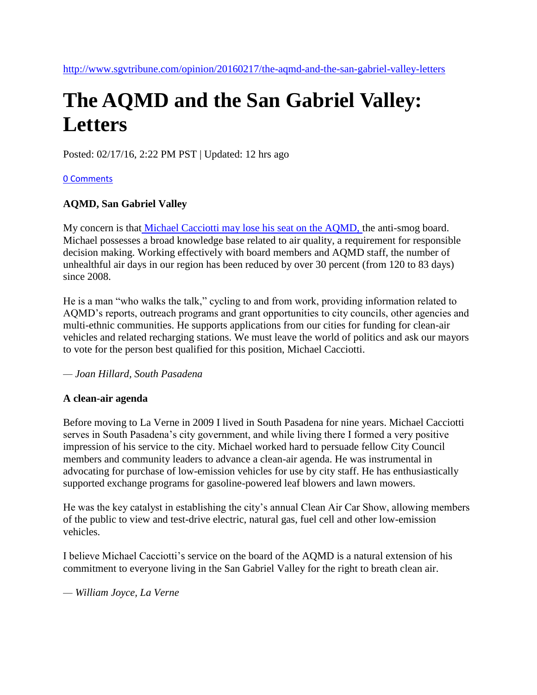# **The AQMD and the San Gabriel Valley: Letters**

Posted: 02/17/16, 2:22 PM PST | Updated: 12 hrs ago

#### [0 Comments](http://www.sgvtribune.com/opinion/20160217/the-aqmd-and-the-san-gabriel-valley-letters#disqus_thread)

#### **AQMD, San Gabriel Valley**

My concern is that [Michael Cacciotti may lose his seat on the AQMD, t](http://www.pasadenastarnews.com/environment-and-nature/20160212/businesses-environmentalists-and-the-710-tunnel-collide-in-aqmd-board-member-battle)he anti-smog board. Michael possesses a broad knowledge base related to air quality, a requirement for responsible decision making. Working effectively with board members and AQMD staff, the number of unhealthful air days in our region has been reduced by over 30 percent (from 120 to 83 days) since 2008.

He is a man "who walks the talk," cycling to and from work, providing information related to AQMD's reports, outreach programs and grant opportunities to city councils, other agencies and multi-ethnic communities. He supports applications from our cities for funding for clean-air vehicles and related recharging stations. We must leave the world of politics and ask our mayors to vote for the person best qualified for this position, Michael Cacciotti.

#### *— Joan Hillard, South Pasadena*

#### **A clean-air agenda**

Before moving to La Verne in 2009 I lived in South Pasadena for nine years. Michael Cacciotti serves in South Pasadena's city government, and while living there I formed a very positive impression of his service to the city. Michael worked hard to persuade fellow City Council members and community leaders to advance a clean-air agenda. He was instrumental in advocating for purchase of low-emission vehicles for use by city staff. He has enthusiastically supported exchange programs for gasoline-powered leaf blowers and lawn mowers.

He was the key catalyst in establishing the city's annual Clean Air Car Show, allowing members of the public to view and test-drive electric, natural gas, fuel cell and other low-emission vehicles.

I believe Michael Cacciotti's service on the board of the AQMD is a natural extension of his commitment to everyone living in the San Gabriel Valley for the right to breath clean air.

*— William Joyce, La Verne*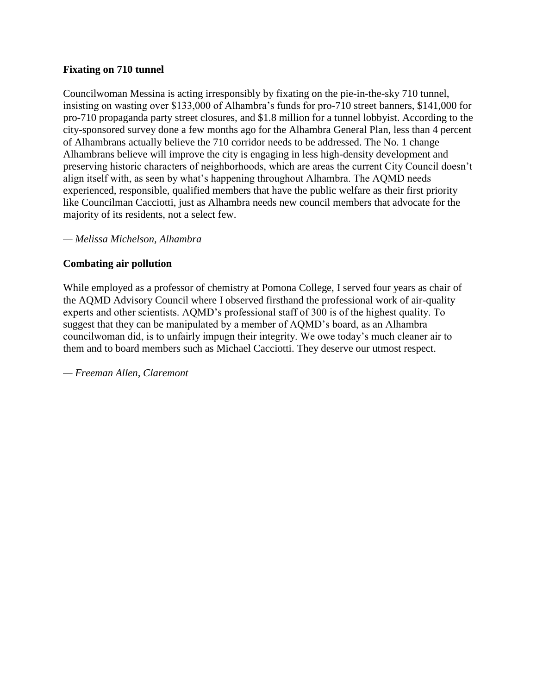#### **Fixating on 710 tunnel**

Councilwoman Messina is acting irresponsibly by fixating on the pie-in-the-sky 710 tunnel, insisting on wasting over \$133,000 of Alhambra's funds for pro-710 street banners, \$141,000 for pro-710 propaganda party street closures, and \$1.8 million for a tunnel lobbyist. According to the city-sponsored survey done a few months ago for the Alhambra General Plan, less than 4 percent of Alhambrans actually believe the 710 corridor needs to be addressed. The No. 1 change Alhambrans believe will improve the city is engaging in less high-density development and preserving historic characters of neighborhoods, which are areas the current City Council doesn't align itself with, as seen by what's happening throughout Alhambra. The AQMD needs experienced, responsible, qualified members that have the public welfare as their first priority like Councilman Cacciotti, just as Alhambra needs new council members that advocate for the majority of its residents, not a select few.

*— Melissa Michelson, Alhambra*

#### **Combating air pollution**

While employed as a professor of chemistry at Pomona College, I served four years as chair of the AQMD Advisory Council where I observed firsthand the professional work of air-quality experts and other scientists. AQMD's professional staff of 300 is of the highest quality. To suggest that they can be manipulated by a member of AQMD's board, as an Alhambra councilwoman did, is to unfairly impugn their integrity. We owe today's much cleaner air to them and to board members such as Michael Cacciotti. They deserve our utmost respect.

*— Freeman Allen, Claremont*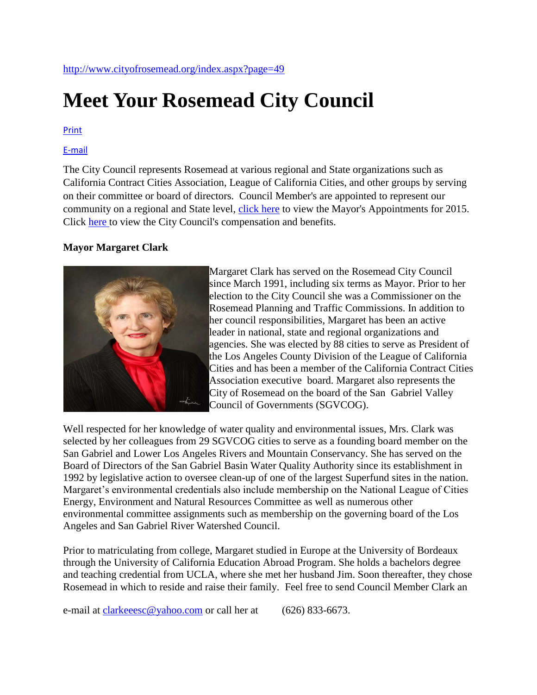# **Meet Your Rosemead City Council**

#### [Print](javascript:window.print();)

#### [E-mail](http://www.cityofrosemead.org/index.aspx?page=20&ftitle=Meet+Your+City+Council)

The City Council represents Rosemead at various regional and State organizations such as California Contract Cities Association, League of California Cities, and other groups by serving on their committee or board of directors. Council Member's are appointed to represent our community on a regional and State level, [click](http://www.cityofrosemead.org/Modules/ShowDocument.aspx?documentid=3033) here to view the Mayor's Appointments for 2015. Click [here t](http://www.cityofrosemead.org/index.aspx?page=378)o view the City Council's compensation and benefits.

#### **Mayor Margaret Clark**



Margaret Clark has served on the Rosemead City Council since March 1991, including six terms as Mayor. Prior to her election to the City Council she was a Commissioner on the Rosemead Planning and Traffic Commissions. In addition to her council responsibilities, Margaret has been an active leader in national, state and regional organizations and agencies. She was elected by 88 cities to serve as President of the Los Angeles County Division of the League of California Cities and has been a member of the California Contract Cities Association executive board. Margaret also represents the City of Rosemead on the board of the San Gabriel Valley Council of Governments (SGVCOG).

Well respected for her knowledge of water quality and environmental issues, Mrs. Clark was selected by her colleagues from 29 SGVCOG cities to serve as a founding board member on the San Gabriel and Lower Los Angeles Rivers and Mountain Conservancy. She has served on the Board of Directors of the San Gabriel Basin Water Quality Authority since its establishment in 1992 by legislative action to oversee clean-up of one of the largest Superfund sites in the nation. Margaret's environmental credentials also include membership on the National League of Cities Energy, Environment and Natural Resources Committee as well as numerous other environmental committee assignments such as membership on the governing board of the Los Angeles and San Gabriel River Watershed Council.

Prior to matriculating from college, Margaret studied in Europe at the University of Bordeaux through the University of California Education Abroad Program. She holds a bachelors degree and teaching credential from UCLA, where she met her husband Jim. Soon thereafter, they chose Rosemead in which to reside and raise their family. Feel free to send Council Member Clark an

e-mail at [clarkeeesc@yahoo.com](mailto:clarkeeesc@yahoo.com) or call her at (626) 833-6673.